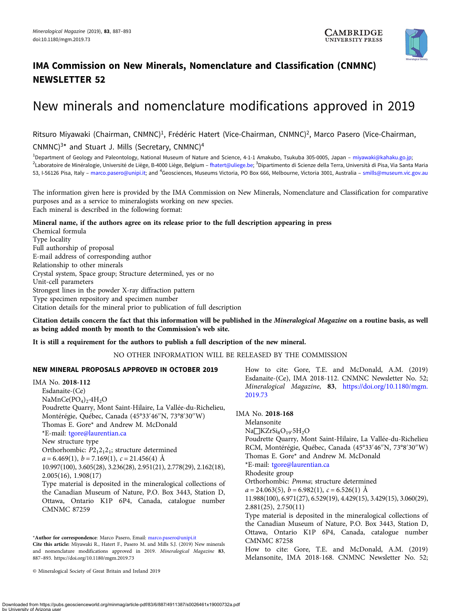

# IMA Commission on New Minerals, Nomenclature and Classification (CNMNC) NEWSLETTER 52

# New minerals and nomenclature modifications approved in 2019

Ritsuro Miyawaki (Chairman, CNMNC)<sup>1</sup>, Frédéric Hatert (Vice-Chairman, CNMNC)<sup>2</sup>, Marco Pasero (Vice-Chairman, CNMNC $3*$  and Stuart J. Mills (Secretary, CNMNC $)^4$ 

<sup>1</sup>Department of Geology and Paleontology, National Museum of Nature and Science, 4-1-1 Amakubo, Tsukuba 305-0005, Japan – [miyawaki@kahaku.go.jp](mailto:miyawaki@kahaku.go.jp); <sup>2</sup>Laboratoire de Minéralogie, Université de Liège, B-4000 Liège, Belgium – [fhatert@uliege.be](mailto:fhatert@uliege.be); <sup>3</sup>Dipartimento di Scienze della Terra, Università di Pisa, Via Santa Maria 53, I-56126 Pisa, Italy – [marco.pasero@unipi.it;](mailto:marco.pasero@unipi.it) and <sup>4</sup>Geosciences, Museums Victoria, PO Box 666, Melbourne, Victoria 3001, Australia – [smills@museum.vic.gov.au](mailto:smills@museum.vic.gov.au)

The information given here is provided by the IMA Commission on New Minerals, Nomenclature and Classification for comparative purposes and as a service to mineralogists working on new species. Each mineral is described in the following format:

#### Mineral name, if the authors agree on its release prior to the full description appearing in press

Chemical formula Type locality Full authorship of proposal E-mail address of corresponding author Relationship to other minerals Crystal system, Space group; Structure determined, yes or no Unit-cell parameters Strongest lines in the powder X-ray diffraction pattern Type specimen repository and specimen number Citation details for the mineral prior to publication of full description

Citation details concern the fact that this information will be published in the Mineralogical Magazine on a routine basis, as well as being added month by month to the Commission's web site.

## It is still a requirement for the authors to publish a full description of the new mineral.

NO OTHER INFORMATION WILL BE RELEASED BY THE COMMISSION

## NEW MINERAL PROPOSALS APPROVED IN OCTOBER 2019

IMA No. 2018-112 Esdanaite-(Ce)  $NaMnCe(PO<sub>4</sub>)<sub>2</sub>·4H<sub>2</sub>O$ Poudrette Quarry, Mont Saint-Hilaire, La Vallée-du-Richelieu, Montérégie, Québec, Canada (45°33′ 46′′N, 73°8′ 30′′W) Thomas E. Gore\* and Andrew M. McDonald \*E-mail: [tgore@laurentian.ca](mailto:tgore@laurentian.ca) New structure type Orthorhombic:  $P2_12_12_1$ ; structure determined  $a = 6.469(1), b = 7.169(1), c = 21.456(4)$  Å 10.997(100), 3.605(28), 3.236(28), 2.951(21), 2.778(29), 2.162(18), 2.005(16), 1.908(17) Type material is deposited in the mineralogical collections of the Canadian Museum of Nature, P.O. Box 3443, Station D, Ottawa, Ontario K1P 6P4, Canada, catalogue number CMNMC 87259

\*Author for correspondence: Marco Pasero, Email: [marco.pasero@unipi.it](mailto:marco.pasero@unipi.it) Cite this article: Miyawaki R., Hatert F., Pasero M. and Mills S.J. (2019) New minerals and nomenclature modifications approved in 2019. Mineralogical Magazine 83, 887–893.<https://doi.org/10.1180/mgm.2019.73>

© Mineralogical Society of Great Britain and Ireland 2019

How to cite: Gore, T.E. and McDonald, A.M. (2019) Esdanaite-(Ce), IMA 2018-112. CNMNC Newsletter No. 52; Mineralogical Magazine, 83, [https://doi.org/10.1180/mgm.](https://doi.org/10.1180/mgm.2019.73) [2019.73](https://doi.org/10.1180/mgm.2019.73)

IMA No. 2018-168

Melansonite  $Na\Box KZrSi_8O_{19}\cdot 5H_2O$ Poudrette Quarry, Mont Saint-Hilaire, La Vallée-du-Richelieu RCM, Montérégie, Québec, Canada (45°33′ 46′′N, 73°8′ 30′′W) Thomas E. Gore\* and Andrew M. McDonald \*E-mail: [tgore@laurentian.ca](mailto:tgore@laurentian.ca) Rhodesite group Orthorhombic: Pmma; structure determined  $a = 24.063(5), b = 6.982(1), c = 6.526(1)$  Å 11.988(100), 6.971(27), 6.529(19), 4.429(15), 3.429(15), 3.060(29), 2.881(25), 2.750(11) Type material is deposited in the mineralogical collections of the Canadian Museum of Nature, P.O. Box 3443, Station D, Ottawa, Ontario K1P 6P4, Canada, catalogue number CMNMC 87258 How to cite: Gore, T.E. and McDonald, A.M. (2019) Melansonite, IMA 2018-168. CNMNC Newsletter No. 52;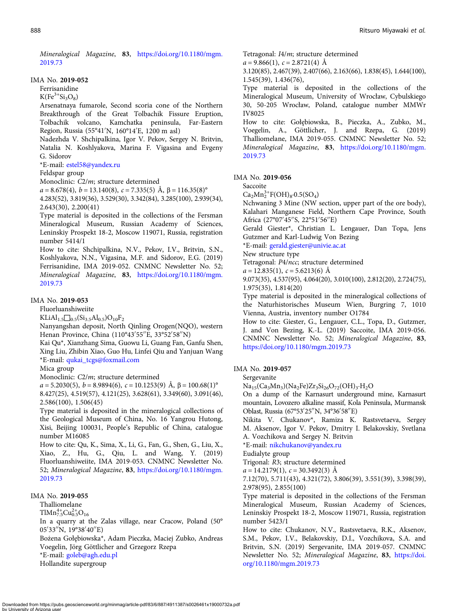Mineralogical Magazine, 83, [https://doi.org/10.1180/mgm.](https://doi.org/10.1180/mgm.2019.73) [2019.73](https://doi.org/10.1180/mgm.2019.73)

#### IMA No. 2019-052

Ferrisanidine

 $K(Fe<sup>3+</sup>Si<sub>3</sub>O<sub>8</sub>)$ 

Arsenatnaya fumarole, Second scoria cone of the Northern Breakthrough of the Great Tolbachik Fissure Eruption, Tolbachik volcano, Kamchatka peninsula, Far-Eastern Region, Russia (55°41′ N, 160°14′ E, 1200 m asl)

Nadezhda V. Shchipalkina, Igor V. Pekov, Sergey N. Britvin, Natalia N. Koshlyakova, Marina F. Vigasina and Evgeny G. Sidorov

\*E-mail: [estel58@yandex.ru](mailto:estel58@yandex.ru)

Feldspar group

Monoclinic: C2/m; structure determined

 $a = 8.678(4)$ ,  $b = 13.140(8)$ ,  $c = 7.335(5)$  Å,  $\beta = 116.35(8)$ °

4.283(52), 3.819(36), 3.529(30), 3.342(84), 3.285(100), 2.939(34), 2.643(30), 2.200(41)

Type material is deposited in the collections of the Fersman Mineralogical Museum, Russian Academy of Sciences, Leninskiy Prospekt 18-2, Moscow 119071, Russia, registration number 5414/1

How to cite: Shchipalkina, N.V., Pekov, I.V., Britvin, S.N., Koshlyakova, N.N., Vigasina, M.F. and Sidorov, E.G. (2019) Ferrisanidine, IMA 2019-052. CNMNC Newsletter No. 52; Mineralogical Magazine, 83, [https://doi.org/10.1180/mgm.](https://doi.org/10.1180/mgm.2019.73) [2019.73](https://doi.org/10.1180/mgm.2019.73)

# IMA No. 2019-053

Fluorluanshiweiite

 $KLiAl_{1.5} \square_{0.5} (Si_{3.5} Al_{0.5}) O_{10}F_2$ 

Nanyangshan deposit, North Qinling Orogen(NQO), western Henan Province, China (110°43′ 55′′E, 33°52′ 58′′N)

Kai Qu\*, Xianzhang Sima, Guowu Li, Guang Fan, Ganfu Shen, Xing Liu, Zhibin Xiao, Guo Hu, Linfei Qiu and Yanjuan Wang \*E-mail: [qukai\\_tcgs@foxmail.com](mailto:qukai_tcgs@foxmail.com)

Mica group

Monoclinic: C2/m; structure determined

 $a = 5.2030(5)$ ,  $b = 8.9894(6)$ ,  $c = 10.1253(9)$  Å,  $\beta = 100.68(1)$ °

8.427(25), 4.519(57), 4.121(25), 3.628(61), 3.349(60), 3.091(46), 2.586(100), 1.506(45)

Type material is deposited in the mineralogical collections of the Geological Museum of China, No. 16 Yangrou Hutong, Xisi, Beijing 100031, People's Republic of China, catalogue number M16085

How to cite: Qu, K., Sima, X., Li, G., Fan, G., Shen, G., Liu, X., Xiao, Z., Hu, G., Qiu, L. and Wang, Y. (2019) Fluorluanshiweiite, IMA 2019-053. CNMNC Newsletter No. 52; Mineralogical Magazine, 83, [https://doi.org/10.1180/mgm.](https://doi.org/10.1180/mgm.2019.73) [2019.73](https://doi.org/10.1180/mgm.2019.73)

#### IMA No. 2019-055

Thalliomelane

 $T$ lMn<sup>4+</sup><sub>7.5</sub>Cu<sub>0.5</sub>O<sub>16</sub>

In a quarry at the Zalas village, near Cracow, Poland (50° 05′ 33′′N, 19°38′ 40′′E)

Bożena Gołębiowska\*, Adam Pieczka, Maciej Zubko, Andreas Voegelin, Jörg Göttlicher and Grzegorz Rzepa

\*E-mail: [goleb@agh.edu.pl](mailto:goleb@agh.edu.pl)

Hollandite supergroup

Tetragonal: I4/m; structure determined

 $a = 9.866(1), c = 2.8721(4)$  Å

3.120(85), 2.467(39), 2.407(66), 2.163(66), 1.838(45), 1.644(100), 1.545(39), 1.436(76),

Type material is deposited in the collections of the Mineralogical Museum, University of Wrocław, Cybulskiego 30, 50-205 Wrocław, Poland, catalogue number MMWr IV8025

How to cite: Gołębiowska, B., Pieczka, A., Zubko, M., Voegelin, A., Göttlicher, J. and Rzepa, G. (2019) Thalliomelane, IMA 2019-055. CNMNC Newsletter No. 52; Mineralogical Magazine, 83, [https://doi.org/10.1180/mgm.](https://doi.org/10.1180/mgm.2019.73) [2019.73](https://doi.org/10.1180/mgm.2019.73)

#### IMA No. 2019-056

Saccoite

 $Ca<sub>2</sub>Mn<sub>2</sub><sup>3+</sup>F(OH)<sub>8</sub>·0.5(SO<sub>4</sub>)$ 

Nchwaning 3 Mine (NW section, upper part of the ore body), Kalahari Manganese Field, Northern Cape Province, South Africa (27°07′ 45′′S, 22°51′ 56′′E)

Gerald Giester\*, Christian L. Lengauer, Dan Topa, Jens Gutzmer and Karl-Ludwig Von Bezing

\*E-mail: [gerald.giester@univie.ac.at](mailto:gerald.giester@univie.ac.at)

New structure type

Tetragonal: P4/ncc; structure determined

 $a = 12.835(1), c = 5.6213(6)$  Å

9.073(35), 4.537(95), 4.064(20), 3.010(100), 2.812(20), 2.724(75), 1.975(35), 1.814(20)

Type material is deposited in the mineralogical collections of the Naturhistorisches Museum Wien, Burgring 7, 1010 Vienna, Austria, inventory number O1784

How to cite: Giester, G., Lengauer, C.L., Topa, D., Gutzmer, J. and Von Bezing, K.-L. (2019) Saccoite, IMA 2019-056. CNMNC Newsletter No. 52; Mineralogical Magazine, 83, <https://doi.org/10.1180/mgm.2019.73>

#### IMA No. 2019-057

Sergevanite

 $Na_{15}(Ca_3Mn_3)(Na_2Fe)Zr_3Si_{26}O_{72}(OH)_3·H_2O$ 

On a dump of the Karnasurt underground mine, Karnasurt mountain, Lovozero alkaline massif, Kola Peninsula, Murmansk Oblast, Russia (67°53′ 25′′N, 34°36′ 58′′E)

Nikita V. Chukanov\*, Ramiza K. Rastsvetaeva, Sergey M. Aksenov, Igor V. Pekov, Dmitry I. Belakovskiy, Svetlana A. Vozchikova and Sergey N. Britvin

\*E-mail: [nikchukanov@yandex.ru](mailto:nikchukanov@yandex.ru)

Eudialyte group

Trigonal: R3; structure determined

 $a = 14.2179(1), c = 30.3492(3)$  Å

7.12(70), 5.711(43), 4.321(72), 3.806(39), 3.551(39), 3.398(39), 2.978(95), 2.855(100)

Type material is deposited in the collections of the Fersman Mineralogical Museum, Russian Academy of Sciences, Leninskiy Prospekt 18-2, Moscow 119071, Russia, registration number 5423/1

How to cite: Chukanov, N.V., Rastsvetaeva, R.K., Aksenov, S.M., Pekov, I.V., Belakovskiy, D.I., Vozchikova, S.A. and Britvin, S.N. (2019) Sergevanite, IMA 2019-057. CNMNC Newsletter No. 52; Mineralogical Magazine, 83, [https://doi.](https://doi.org/10.1180/mgm.2019.73) [org/10.1180/mgm.2019.73](https://doi.org/10.1180/mgm.2019.73)

vnloaded from https://pubs.geoscienceworld.org/minmag/article-pdf/83/6/887/4911387/s0026461x19000732a.pdf by University o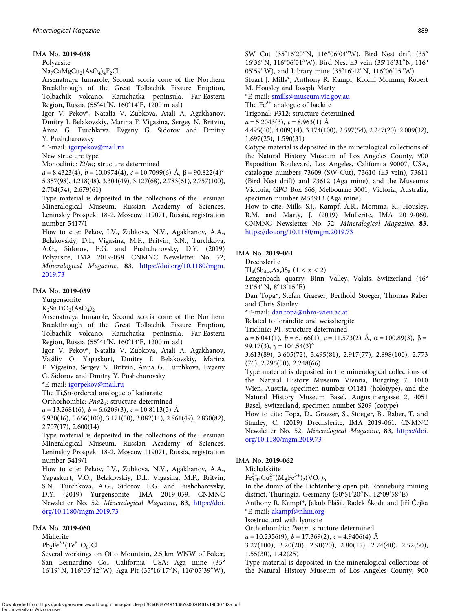#### IMA No. 2019-058

Polyarsite

Na<sub>7</sub>CaMgCu<sub>2</sub>(AsO<sub>4</sub>)<sub>4</sub>F<sub>2</sub>Cl

Arsenatnaya fumarole, Second scoria cone of the Northern Breakthrough of the Great Tolbachik Fissure Eruption, Tolbachik volcano, Kamchatka peninsula, Far-Eastern Region, Russia (55°41′ N, 160°14′ E, 1200 m asl)

Igor V. Pekov\*, Natalia V. Zubkova, Atali A. Agakhanov, Dmitry I. Belakovskiy, Marina F. Vigasina, Sergey N. Britvin, Anna G. Turchkova, Evgeny G. Sidorov and Dmitry Y. Pushcharovsky

\*E-mail: [igorpekov@mail.ru](mailto:igorpekov@mail.ru)

#### New structure type

Monoclinic: I2/m; structure determined

 $a = 8.4323(4)$ ,  $b = 10.0974(4)$ ,  $c = 10.7099(6)$  Å,  $\beta = 90.822(4)$ ° 5.357(98), 4.218(48), 3.304(49), 3.127(68), 2.783(61), 2.757(100), 2.704(54), 2.679(61)

Type material is deposited in the collections of the Fersman Mineralogical Museum, Russian Academy of Sciences, Leninskiy Prospekt 18-2, Moscow 119071, Russia, registration number 5417/1

How to cite: Pekov, I.V., Zubkova, N.V., Agakhanov, A.A., Belakovskiy, D.I., Vigasina, M.F., Britvin, S.N., Turchkova, A.G., Sidorov, E.G. and Pushcharovsky, D.Y. (2019) Polyarsite, IMA 2019-058. CNMNC Newsletter No. 52; Mineralogical Magazine, 83, [https://doi.org/10.1180/mgm.](https://doi.org/10.1180/mgm.2019.73) [2019.73](https://doi.org/10.1180/mgm.2019.73)

#### IMA No. 2019-059

Yurgensonite

 $K_2$ SnTiO<sub>2</sub>(AsO<sub>4</sub>)<sub>2</sub>

Arsenatnaya fumarole, Second scoria cone of the Northern Breakthrough of the Great Tolbachik Fissure Eruption, Tolbachik volcano, Kamchatka peninsula, Far-Eastern Region, Russia (55°41′ N, 160°14′ E, 1200 m asl)

Igor V. Pekov\*, Natalia V. Zubkova, Atali A. Agakhanov, Vasiliy O. Yapaskurt, Dmitry I. Belakovskiy, Marina F. Vigasina, Sergey N. Britvin, Anna G. Turchkova, Evgeny G. Sidorov and Dmitry Y. Pushcharovsky

\*E-mail: [igorpekov@mail.ru](mailto:igorpekov@mail.ru)

The Ti,Sn-ordered analogue of katiarsite

Orthorhombic: Pna2<sub>1</sub>; structure determined

 $a = 13.2681(6), b = 6.6209(3), c = 10.8113(5)$  Å

5.930(16), 5.656(100), 3.171(50), 3.082(11), 2.861(49), 2.830(82), 2.707(17), 2.600(14)

Type material is deposited in the collections of the Fersman Mineralogical Museum, Russian Academy of Sciences, Leninskiy Prospekt 18-2, Moscow 119071, Russia, registration number 5419/1

How to cite: Pekov, I.V., Zubkova, N.V., Agakhanov, A.A., Yapaskurt, V.O., Belakovskiy, D.I., Vigasina, M.F., Britvin, S.N., Turchkova, A.G., Sidorov, E.G. and Pushcharovsky, D.Y. (2019) Yurgensonite, IMA 2019-059. CNMNC Newsletter No. 52; Mineralogical Magazine, 83, [https://doi.](https://doi.org/10.1180/mgm.2019.73) [org/10.1180/mgm.2019.73](https://doi.org/10.1180/mgm.2019.73)

#### IMA No. 2019-060

Müllerite

 $Pb_2Fe^{3+}(Te^{6+}O_6)Cl$ 

Several workings on Otto Mountain, 2.5 km WNW of Baker, San Bernardino Co., California, USA: Aga mine (35° 16′ 19′′N, 116°05′ 42′′W), Aga Pit (35°16′ 17′′N, 116°05′ 39′′W),

SW Cut (35°16′ 20′′N, 116°06′ 04′′W), Bird Nest drift (35° 16′ 36′′N, 116°06′ 01′′W), Bird Nest E3 vein (35°16′ 31′′N, 116° 05′ 59′′W), and Library mine (35°16′ 42′′N, 116°06′ 05′′W)

Stuart J. Mills\*, Anthony R. Kampf, Koichi Momma, Robert M. Housley and Joseph Marty

\*E-mail: [smills@museum.vic.gov.au](mailto:smills@museum.vic.gov.au)

The  $Fe<sup>3+</sup>$  analogue of backite

Trigonal: P312; structure determined

 $a = 5.2043(3), c = 8.963(1)$  Å

4.495(40), 4.009(14), 3.174(100), 2.597(54), 2.247(20), 2.009(32), 1.697(25), 1.590(31)

Cotype material is deposited in the mineralogical collections of the Natural History Museum of Los Angeles County, 900 Exposition Boulevard, Los Angeles, California 90007, USA, catalogue numbers 73609 (SW Cut), 73610 (E3 vein), 73611 (Bird Nest drift) and 73612 (Aga mine), and the Museums Victoria, GPO Box 666, Melbourne 3001, Victoria, Australia, specimen number M54913 (Aga mine)

How to cite: Mills, S.J., Kampf, A.R., Momma, K., Housley, R.M. and Marty, J. (2019) Müllerite, IMA 2019-060. CNMNC Newsletter No. 52; Mineralogical Magazine, 83, <https://doi.org/10.1180/mgm.2019.73>

#### IMA No. 2019-061

Drechslerite

 $\text{TI}_4(\text{Sb}_{4-x}\text{As}_x)\text{S}_8$   $(1 < x < 2)$ 

Lengenbach quarry, Binn Valley, Valais, Switzerland (46° 21′ 54′′N, 8°13′ 15′′E)

Dan Topa\*, Stefan Graeser, Berthold Stoeger, Thomas Raber and Chris Stanley

\*E-mail: [dan.topa@nhm-wien.ac.at](mailto:dan.topa@nhm-wien.ac.at)

Related to lorándite and weissbergite

Triclinic:  $P\overline{1}$ ; structure determined

 $a = 6.041(1)$ ,  $b = 6.166(1)$ ,  $c = 11.573(2)$  Å,  $\alpha = 100.89(3)$ ,  $\beta =$ 99.17(3),  $\gamma = 104.54(3)$ <sup>°</sup>

3.613(89), 3.605(72), 3.495(81), 2.917(77), 2.898(100), 2.773 (76), 2.296(50), 2.248(66)

Type material is deposited in the mineralogical collections of the Natural History Museum Vienna, Burgring 7, 1010 Wien, Austria, specimen number O1181 (holotype), and the Natural History Museum Basel, Augustinergasse 2, 4051 Basel, Switzerland, specimen number S209 (cotype)

How to cite: Topa, D., Graeser, S., Stoeger, B., Raber, T. and Stanley, C. (2019) Drechslerite, IMA 2019-061. CNMNC Newsletter No. 52; Mineralogical Magazine, 83, [https://doi.](https://doi.org/10.1180/mgm.2019.73) [org/10.1180/mgm.2019.73](https://doi.org/10.1180/mgm.2019.73)

#### IMA No. 2019-062

Michalskiite

 $Fe^{3+}_{1.33}Cu^{2+}_{2} (MgFe^{3+})_{2} (VO_{4})_{6}$ 

In the dump of the Lichtenberg open pit, Ronneburg mining district, Thuringia, Germany (50°51'20"N, 12°09'58"E)

Anthony R. Kampf\*, Jakub Plášil, Radek Škoda and Jiří Čejka \*E-mail: [akampf@nhm.org](mailto:akampf@nhm.org)

Isostructural with lyonsite

Orthorhombic: Pmcn; structure determined

 $a = 10.2356(9)$ ,  $b = 17.369(2)$ ,  $c = 4.9406(4)$  Å

3.27(100), 3.20(20), 2.90(20), 2.80(15), 2.74(40), 2.52(50), 1.55(30), 1.42(25)

Type material is deposited in the mineralogical collections of the Natural History Museum of Los Angeles County, 900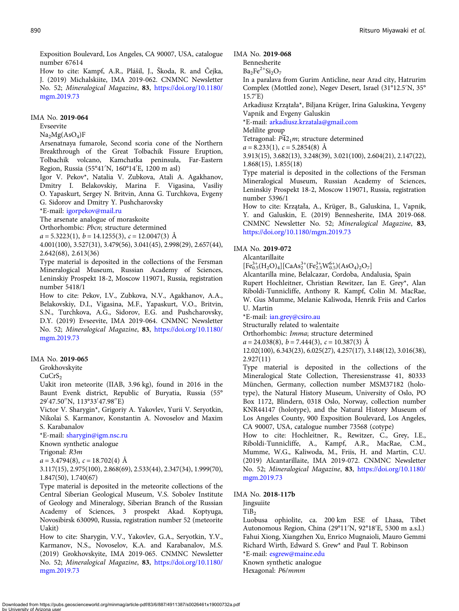Exposition Boulevard, Los Angeles, CA 90007, USA, catalogue number 67614

How to cite: Kampf, A.R., Plášil, J., Škoda, R. and Čejka, J. (2019) Michalskiite, IMA 2019-062. CNMNC Newsletter No. 52; Mineralogical Magazine, 83, [https://doi.org/10.1180/](https://doi.org/10.1180/mgm.2019.73) [mgm.2019.73](https://doi.org/10.1180/mgm.2019.73)

#### IMA No. 2019-064

Evseevite

#### $Na<sub>2</sub>Mg(AsO<sub>4</sub>)F$

Arsenatnaya fumarole, Second scoria cone of the Northern Breakthrough of the Great Tolbachik Fissure Eruption, Tolbachik volcano, Kamchatka peninsula, Far-Eastern Region, Russia (55°41′ N, 160°14′ E, 1200 m asl)

Igor V. Pekov\*, Natalia V. Zubkova, Atali A. Agakhanov, Dmitry I. Belakovskiy, Marina F. Vigasina, Vasiliy O. Yapaskurt, Sergey N. Britvin, Anna G. Turchkova, Evgeny G. Sidorov and Dmitry Y. Pushcharovsky

\*E-mail: [igorpekov@mail.ru](mailto:igorpekov@mail.ru)

The arsenate analogue of moraskoite

Orthorhombic: Pbcn; structure determined

 $a = 5.3223(1), b = 14.1255(3), c = 12.0047(3)$  Å

4.001(100), 3.527(31), 3.479(56), 3.041(45), 2.998(29), 2.657(44), 2.642(68), 2.613(36)

Type material is deposited in the collections of the Fersman Mineralogical Museum, Russian Academy of Sciences, Leninskiy Prospekt 18-2, Moscow 119071, Russia, registration number 5418/1

How to cite: Pekov, I.V., Zubkova, N.V., Agakhanov, A.A., Belakovskiy, D.I., Vigasina, M.F., Yapaskurt, V.O., Britvin, S.N., Turchkova, A.G., Sidorov, E.G. and Pushcharovsky, D.Y. (2019) Evseevite, IMA 2019-064. CNMNC Newsletter No. 52; Mineralogical Magazine, 83, [https://doi.org/10.1180/](https://doi.org/10.1180/mgm.2019.73) [mgm.2019.73](https://doi.org/10.1180/mgm.2019.73)

#### IMA No. 2019-065

Grokhovskyite

 $CuCrS<sub>2</sub>$ 

Uakit iron meteorite (IIAB, 3.96 kg), found in 2016 in the Baunt Evenk district, Republic of Buryatia, Russia (55° 29′ 47.50′′N, 113°33′ 47.98′′E)

Victor V. Sharygin\*, Grigoriy A. Yakovlev, Yurii V. Seryotkin, Nikolai S. Karmanov, Konstantin A. Novoselov and Maxim S. Karabanalov

\*E-mail: [sharygin@igm.nsc.ru](mailto:sharygin@igm.nsc.ru)

Known synthetic analogue

Trigonal: R3m

 $a = 3.4794(8), c = 18.702(4)$  Å

3.117(15), 2.975(100), 2.868(69), 2.533(44), 2.347(34), 1.999(70), 1.847(50), 1.740(67)

Type material is deposited in the meteorite collections of the Central Siberian Geological Museum, V.S. Sobolev Institute of Geology and Mineralogy, Siberian Branch of the Russian Academy of Sciences, 3 prospekt Akad. Koptyuga, Novosibirsk 630090, Russia, registration number 52 (meteorite Uakit)

How to cite: Sharygin, V.V., Yakovlev, G.A., Seryotkin, Y.V., Karmanov, N.S., Novoselov, K.A. and Karabanalov, M.S. (2019) Grokhovskyite, IMA 2019-065. CNMNC Newsletter No. 52; Mineralogical Magazine, 83, [https://doi.org/10.1180/](https://doi.org/10.1180/mgm.2019.73) [mgm.2019.73](https://doi.org/10.1180/mgm.2019.73)

IMA No. 2019-068

Bennesherite

 $Ba_2Fe^{2+}Si_2O_7$ 

In a paralava from Gurim Anticline, near Arad city, Hatrurim Complex (Mottled zone), Negev Desert, Israel (31°12.5′ N, 35° 15.7′ E)

Arkadiusz Krzątała\*, Biljana Krüger, Irina Galuskina, Yevgeny Vapnik and Evgeny Galuskin

\*E-mail: [arkadiusz.krzatala@gmail.com](mailto:arkadiusz.krzatala@gmail.com)

Melilite group

Tetragonal:  $P\overline{4}2_1m$ ; structure determined

 $a = 8.233(1), c = 5.2854(8)$  Å

3.913(15), 3.682(13), 3.248(39), 3.021(100), 2.604(21), 2.147(22), 1.868(15), 1.855(18)

Type material is deposited in the collections of the Fersman Mineralogical Museum, Russian Academy of Sciences, Leninskiy Prospekt 18-2, Moscow 119071, Russia, registration number 5396/1

How to cite: Krzątała, A., Krüger, B., Galuskina, I., Vapnik, Y. and Galuskin, E. (2019) Bennesherite, IMA 2019-068. CNMNC Newsletter No. 52; Mineralogical Magazine, 83, <https://doi.org/10.1180/mgm.2019.73>

#### IMA No. 2019-072

Alcantarillaite

 $[Fe_{0.5}^{3+}(H_2O)_4][CaAs_2^{3+}(Fe_{2.5}^{3+}W_{0.5}^{6+})(AsO_4)_2O_7]$ 

Alcantarilla mine, Belalcazar, Cordoba, Andalusia, Spain Rupert Hochleitner, Christian Rewitzer, Ian E. Grey\*, Alan Riboldi-Tunnicliffe, Anthony R. Kampf, Colin M. MacRae, W. Gus Mumme, Melanie Kaliwoda, Henrik Friis and Carlos U. Martin

\*E-mail: [ian.grey@csiro.au](mailto:ian.grey@csiro.au)

Structurally related to walentaite

Orthorhombic: Imma; structure determined

 $a = 24.038(8), b = 7.444(3), c = 10.387(3)$  Å

12.02(100), 6.343(23), 6.025(27), 4.257(17), 3.148(12), 3.016(38), 2.927(11)

Type material is deposited in the collections of the Mineralogical State Collection, Theresienstrasse 41, 80333 München, Germany, collection number MSM37182 (holotype), the Natural History Museum, University of Oslo, PO Box 1172, Blindern, 0318 Oslo, Norway, collection number KNR44147 (holotype), and the Natural History Museum of Los Angeles County, 900 Exposition Boulevard, Los Angeles, CA 90007, USA, catalogue number 73568 (cotype)

How to cite: Hochleitner, R., Rewitzer, C., Grey, I.E., Riboldi-Tunnicliffe, A., Kampf, A.R., MacRae, C.M., Mumme, W.G., Kaliwoda, M., Friis, H. and Martin, C.U. (2019) Alcantarillaite, IMA 2019-072. CNMNC Newsletter No. 52; Mineralogical Magazine, 83, [https://doi.org/10.1180/](https://doi.org/10.1180/mgm.2019.73) [mgm.2019.73](https://doi.org/10.1180/mgm.2019.73)

#### IMA No. 2018-117b

Jingsuiite

 $TiB<sub>2</sub>$ 

Luobusa ophiolite, ca. 200 km ESE of Lhasa, Tibet Autonomous Region, China (29°11′ N, 92°18′ E, 5300 m a.s.l.) Fahui Xiong, Xiangzhen Xu, Enrico Mugnaioli, Mauro Gemmi Richard Wirth, Edward S. Grew\* and Paul T. Robinson

\*E-mail: [esgrew@maine.edu](mailto:esgrew@maine.edu)

Known synthetic analogue

Hexagonal: P6/mmm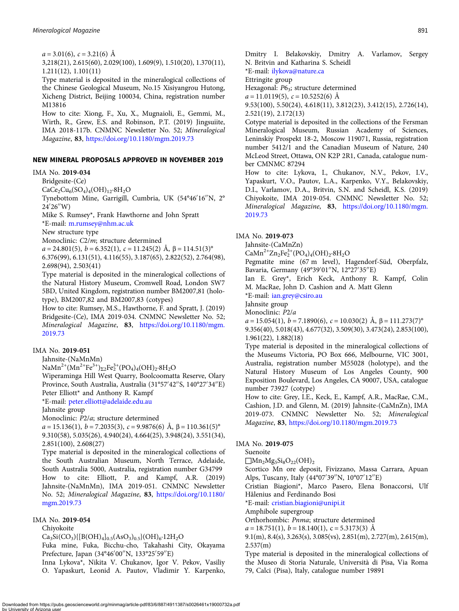$a = 3.01(6)$ ,  $c = 3.21(6)$  Å

3,218(21), 2.615(60), 2.029(100), 1.609(9), 1.510(20), 1.370(11), 1.211(12), 1.101(11)

Type material is deposited in the mineralogical collections of the Chinese Geological Museum, No.15 Xisiyangrou Hutong, Xicheng District, Beijing 100034, China, registration number M13816

How to cite: Xiong, F., Xu, X., Mugnaioli, E., Gemmi, M., Wirth, R., Grew, E.S. and Robinson, P.T. (2019) Jingsuiite, IMA 2018-117b. CNMNC Newsletter No. 52; Mineralogical Magazine, 83, <https://doi.org/10.1180/mgm.2019.73>

#### NEW MINERAL PROPOSALS APPROVED IN NOVEMBER 2019

#### IMA No. 2019-034

Bridgesite-(Ce)

 $CaCe<sub>2</sub>Cu<sub>6</sub>(SO<sub>4</sub>)<sub>4</sub>(OH)<sub>12</sub>·8H<sub>2</sub>O$ 

Tynebottom Mine, Garrigill, Cumbria, UK (54°46′ 16′′N, 2° 24′ 26′′W)

Mike S. Rumsey\*, Frank Hawthorne and John Spratt

\*E-mail: [m.rumsey@nhm.ac.uk](mailto:m.rumsey@nhm.ac.uk)

New structure type

Monoclinic: C2/m; structure determined

 $a = 24.801(5)$ ,  $b = 6.352(1)$ ,  $c = 11.245(2)$  Å,  $\beta = 114.51(3)$ °

6.376(99), 6.131(51), 4.116(55), 3.187(65), 2.822(52), 2.764(98), 2.698(94), 2.503(41)

Type material is deposited in the mineralogical collections of the Natural History Museum, Cromwell Road, London SW7 5BD, United Kingdom, registration number BM2007,81 (holotype), BM2007,82 and BM2007,83 (cotypes)

How to cite: Rumsey, M.S., Hawthorne, F. and Spratt, J. (2019) Bridgesite-(Ce), IMA 2019-034. CNMNC Newsletter No. 52; Mineralogical Magazine, 83, [https://doi.org/10.1180/mgm.](https://doi.org/10.1180/mgm.2019.73) [2019.73](https://doi.org/10.1180/mgm.2019.73)

#### IMA No. 2019-051

Jahnsite-(NaMnMn)

NaMn<sup>2+</sup>(Mn<sup>2+</sup>Fe<sup>3+</sup>)<sub>Σ2</sub>Fe<sub>2</sub><sup>3+</sup>(PO<sub>4</sub>)<sub>4</sub>(OH)<sub>2</sub>·8H<sub>2</sub>O

Wiperaminga Hill West Quarry, Boolcoomatta Reserve, Olary Province, South Australia, Australia (31°57′ 42′′S, 140°27′ 34′′E) Peter Elliott\* and Anthony R. Kampf

\*E-mail: [peter.elliott@adelaide.edu.au](mailto:peter.elliott@adelaide.edu.au)

Jahnsite group

Monoclinic: P2/a; structure determined

 $a = 15.136(1), b = 7.2035(3), c = 9.9876(6)$  Å,  $\beta = 110.361(5)$ °

9.310(58), 5.035(26), 4.940(24), 4.664(25), 3.948(24), 3.551(34), 2.851(100), 2.608(27)

Type material is deposited in the mineralogical collections of the South Australian Museum, North Terrace, Adelaide, South Australia 5000, Australia, registration number G34799 How to cite: Elliott, P. and Kampf, A.R. (2019) Jahnsite-(NaMnMn), IMA 2019-051. CNMNC Newsletter No. 52; Mineralogical Magazine, 83, [https://doi.org/10.1180/](https://doi.org/10.1180/mgm.2019.73) [mgm.2019.73](https://doi.org/10.1180/mgm.2019.73)

#### IMA No. 2019-054

Chiyokoite

 $Ca_3Si(CO_3){[B(OH)_4]_{0.5}(AsO_3)_{0.5}}(OH)_6.12H_2O$ 

Fuka mine, Fuka, Bicchu-cho, Takahashi City, Okayama Prefecture, Japan (34°46′ 00′′N, 133°25′ 59′′E)

Inna Lykova\*, Nikita V. Chukanov, Igor V. Pekov, Vasiliy O. Yapaskurt, Leonid A. Pautov, Vladimir Y. Karpenko, Dmitry I. Belakovskiy, Dmitry A. Varlamov, Sergey N. Britvin and Katharina S. Scheidl

\*E-mail: [ilykova@nature.ca](mailto:ilykova@nature.ca)

Ettringite group

Hexagonal: P6<sub>3</sub>; structure determined

 $a = 11.0119(5)$ ,  $c = 10.5252(6)$  Å

9.53(100), 5.50(24), 4.618(11), 3.812(23), 3.412(15), 2.726(14), 2.521(19), 2.172(13)

Cotype material is deposited in the collections of the Fersman Mineralogical Museum, Russian Academy of Sciences, Leninskiy Prospekt 18-2, Moscow 119071, Russia, registration number 5412/1 and the Canadian Museum of Nature, 240 McLeod Street, Ottawa, ON K2P 2R1, Canada, catalogue number CMNMC 87294

How to cite: Lykova, I., Chukanov, N.V., Pekov, I.V., Yapaskurt, V.O., Pautov, L.A., Karpenko, V.Y., Belakovskiy, D.I., Varlamov, D.A., Britvin, S.N. and Scheidl, K.S. (2019) Chiyokoite, IMA 2019-054. CNMNC Newsletter No. 52; Mineralogical Magazine, 83, [https://doi.org/10.1180/mgm.](https://doi.org/10.1180/mgm.2019.73) [2019.73](https://doi.org/10.1180/mgm.2019.73)

#### IMA No. 2019-073

Jahnsite-(CaMnZn)

 $CaMn^{2+}Zn_2Fe_2^{3+}(PO_4)_4(OH)_2.8H_2O$ 

Pegmatite mine (67 m level), Hagendorf-Süd, Oberpfalz, Bavaria, Germany (49°39′ 01′′N, 12°27′ 35′′E)

Ian E. Grey\*, Erich Keck, Anthony R. Kampf, Colin M. MacRae, John D. Cashion and A. Matt Glenn

\*E-mail: [ian.grey@csiro.au](mailto:ian.grey@csiro.au)

Jahnsite group

Monoclinic: P2/a

 $a = 15.054(1), b = 7.1890(6), c = 10.030(2)$  Å,  $\beta = 111.273(7)$ °

9.356(40), 5.018(43), 4.677(32), 3.509(30), 3.473(24), 2.853(100), 1.961(22), 1.882(18)

Type material is deposited in the mineralogical collections of the Museums Victoria, PO Box 666, Melbourne, VIC 3001, Australia, registration number M55028 (holotype), and the Natural History Museum of Los Angeles County, 900 Exposition Boulevard, Los Angeles, CA 90007, USA, catalogue number 73927 (cotype)

How to cite: Grey, I.E., Keck, E., Kampf, A.R., MacRae, C.M., Cashion, J.D. and Glenn, M. (2019) Jahnsite-(CaMnZn), IMA 2019-073. CNMNC Newsletter No. 52; Mineralogical Magazine, 83, <https://doi.org/10.1180/mgm.2019.73>

#### IMA No. 2019-075

Suenoite

 $\Box$ Mn<sub>2</sub>Mg<sub>5</sub>Si<sub>8</sub>O<sub>22</sub>(OH)<sub>2</sub>

Scortico Mn ore deposit, Fivizzano, Massa Carrara, Apuan Alps, Tuscany, Italy (44°07′ 39′′N, 10°07′ 12′′E)

Cristian Biagioni\*, Marco Pasero, Elena Bonaccorsi, Ulf Hålenius and Ferdinando Bosi

\*E-mail: [cristian.biagioni@unipi.it](mailto:cristian.biagioni@unipi.it)

Amphibole supergroup

Orthorhombic: Pnma; structure determined

 $a = 18.751(1), b = 18.140(1), c = 5.3173(3)$  Å

9.1(m), 8.4(s), 3.263(s), 3.085(vs), 2.851(m), 2.727(m), 2.615(m), 2.537(m)

Type material is deposited in the mineralogical collections of the Museo di Storia Naturale, Università di Pisa, Via Roma 79, Calci (Pisa), Italy, catalogue number 19891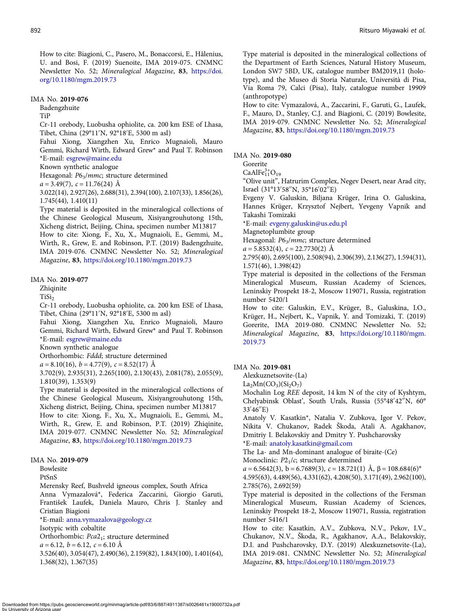How to cite: Biagioni, C., Pasero, M., Bonaccorsi, E., Hålenius, U. and Bosi, F. (2019) Suenoite, IMA 2019-075. CNMNC Newsletter No. 52; Mineralogical Magazine, 83, [https://doi.](https://doi.org/10.1180/mgm.2019.73) [org/10.1180/mgm.2019.73](https://doi.org/10.1180/mgm.2019.73)

#### IMA No. 2019-076

Badengzhuite

TiP

Cr-11 orebody, Luobusha ophiolite, ca. 200 km ESE of Lhasa, Tibet, China (29°11′ N, 92°18′ E, 5300 m asl)

Fahui Xiong, Xiangzhen Xu, Enrico Mugnaioli, Mauro Gemmi, Richard Wirth, Edward Grew\* and Paul T. Robinson \*E-mail: [esgrew@maine.edu](mailto:esgrew@maine.edu)

Known synthetic analogue

Hexagonal: P6<sub>3</sub>/mmc; structure determined

 $a = 3.49(7)$ ,  $c = 11.76(24)$  Å

3.022(14), 2.927(26), 2.688(31), 2.394(100), 2.107(33), 1.856(26), 1.745(44), 1.410(11)

Type material is deposited in the mineralogical collections of the Chinese Geological Museum, Xisiyangrouhutong 15th, Xicheng district, Beijing, China, specimen number M13817 How to cite: Xiong, F., Xu, X., Mugnaioli, E., Gemmi, M.,

Wirth, R., Grew, E. and Robinson, P.T. (2019) Badengzhuite, IMA 2019-076. CNMNC Newsletter No. 52; Mineralogical Magazine, 83, <https://doi.org/10.1180/mgm.2019.73>

#### IMA No. 2019-077

Zhiqinite

TiSi<sub>2</sub>

Cr-11 orebody, Luobusha ophiolite, ca. 200 km ESE of Lhasa, Tibet, China (29°11′ N, 92°18′ E, 5300 m asl)

Fahui Xiong, Xiangzhen Xu, Enrico Mugnaioli, Mauro Gemmi, Richard Wirth, Edward Grew\* and Paul T. Robinson \*E-mail: [esgrew@maine.edu](mailto:esgrew@maine.edu)

Known synthetic analogue

Orthorhombic: Fddd; structure determined

 $a = 8.10(16), b = 4.77(9), c = 8.52(17)$  Å

3.702(9), 2.935(31), 2.265(100), 2.130(43), 2.081(78), 2.055(9), 1.810(39), 1.353(9)

Type material is deposited in the mineralogical collections of the Chinese Geological Museum, Xisiyangrouhutong 15th, Xicheng district, Beijing, China, specimen number M13817 How to cite: Xiong, F., Xu, X., Mugnaioli, E., Gemmi, M.,

Wirth, R., Grew, E. and Robinson, P.T. (2019) Zhiqinite, IMA 2019-077. CNMNC Newsletter No. 52; Mineralogical Magazine, 83, <https://doi.org/10.1180/mgm.2019.73>

#### IMA No. 2019-079

Bowlesite PtSnS

Merensky Reef, Bushveld igneous complex, South Africa Anna Vymazalová\*, Federica Zaccarini, Giorgio Garuti, František Laufek, Daniela Mauro, Chris J. Stanley and Cristian Biagioni

\*E-mail: [anna.vymazalova@geology.cz](mailto:anna.vymazalova@geology.cz)

Isotypic with cobaltite

Orthorhombic: Pca2<sub>1</sub>; structure determined

 $a = 6.12, b = 6.12, c = 6.10 \text{ Å}$ 

3.526(40), 3.054(47), 2.490(36), 2.159(82), 1.843(100), 1.401(64), 1.368(32), 1.367(35)

Type material is deposited in the mineralogical collections of the Department of Earth Sciences, Natural History Museum, London SW7 5BD, UK, catalogue number BM2019,11 (holotype), and the Museo di Storia Naturale, Università di Pisa, Via Roma 79, Calci (Pisa), Italy, catalogue number 19909 (anthropotype)

How to cite: Vymazalová, A., Zaccarini, F., Garuti, G., Laufek, F., Mauro, D., Stanley, C.J. and Biagioni, C. (2019) Bowlesite, IMA 2019-079. CNMNC Newsletter No. 52; Mineralogical Magazine, 83, <https://doi.org/10.1180/mgm.2019.73>

IMA No. 2019-080

Gorerite

 $CaAlFe^{3+}_{11}O_{19}$ 

"Olive unit", Hatrurim Complex, Negev Desert, near Arad city, Israel (31°13′ 58′′N, 35°16′ 02′′E)

Evgeny V. Galuskin, Biljana Krüger, Irina O. Galuskina, Hannes Krüger, Krzysztof Nejbert, Yevgeny Vapnik and Takashi Tomizaki

\*E-mail: [evgeny.galuskin@us.edu.pl](mailto:evgeny.galuskin@us.edu.pl)

Magnetoplumbite group

Hexagonal: P6<sub>3</sub>/mmc; structure determined

 $a = 5.8532(4), c = 22.7730(2)$  Å

2.795(40), 2.695(100), 2.508(94), 2.306(39), 2.136(27), 1.594(31), 1.571(46), 1.398(42)

Type material is deposited in the collections of the Fersman Mineralogical Museum, Russian Academy of Sciences, Leninskiy Prospekt 18-2, Moscow 119071, Russia, registration number 5420/1

How to cite: Galuskin, E.V., Krüger, B., Galuskina, I.O., Krüger, H., Nejbert, K., Vapnik, Y. and Tomizaki, T. (2019) Gorerite, IMA 2019-080. CNMNC Newsletter No. 52; Mineralogical Magazine, 83, [https://doi.org/10.1180/mgm.](https://doi.org/10.1180/mgm.2019.73) [2019.73](https://doi.org/10.1180/mgm.2019.73)

IMA No. 2019-081

Alexkuznetsovite-(La)

 $La<sub>2</sub>Mn(CO<sub>3</sub>)(Si<sub>2</sub>O<sub>7</sub>)$ 

Mochalin Log REE deposit, 14 km N of the city of Kyshtym, Chelyabinsk Oblast', South Urals, Russia (55°48′ 42′′N, 60° 33′ 46′′E)

Anatoly V. Kasatkin\*, Natalia V. Zubkova, Igor V. Pekov, Nikita V. Chukanov, Radek Škoda, Atali A. Agakhanov, Dmitriy I. Belakovskiy and Dmitry Y. Pushcharovsky

\*E-mail: [anatoly.kasatkin@gmail.com](mailto:anatoly.kasatkin@gmail.com)

The La- and Mn-dominant analogue of biraite-(Ce) Monoclinic:  $P2<sub>1</sub>/c$ ; structure determined

 $a = 6.5642(3)$ , b = 6.7689(3), c = 18.721(1) Å,  $\beta = 108.684(6)$ ° 4.595(63), 4.489(56), 4.331(62), 4.208(50), 3.171(49), 2.962(100),

2.785(76), 2.692(59)

Type material is deposited in the collections of the Fersman Mineralogical Museum, Russian Academy of Sciences, Leninskiy Prospekt 18-2, Moscow 119071, Russia, registration number 5416/1

How to cite: Kasatkin, A.V., Zubkova, N.V., Pekov, I.V., Chukanov, N.V., Škoda, R., Agakhanov, A.A., Belakovskiy, D.I. and Pushcharovsky, D.Y. (2019) Alexkuznetsovite-(La), IMA 2019-081. CNMNC Newsletter No. 52; Mineralogical Magazine, 83, <https://doi.org/10.1180/mgm.2019.73>